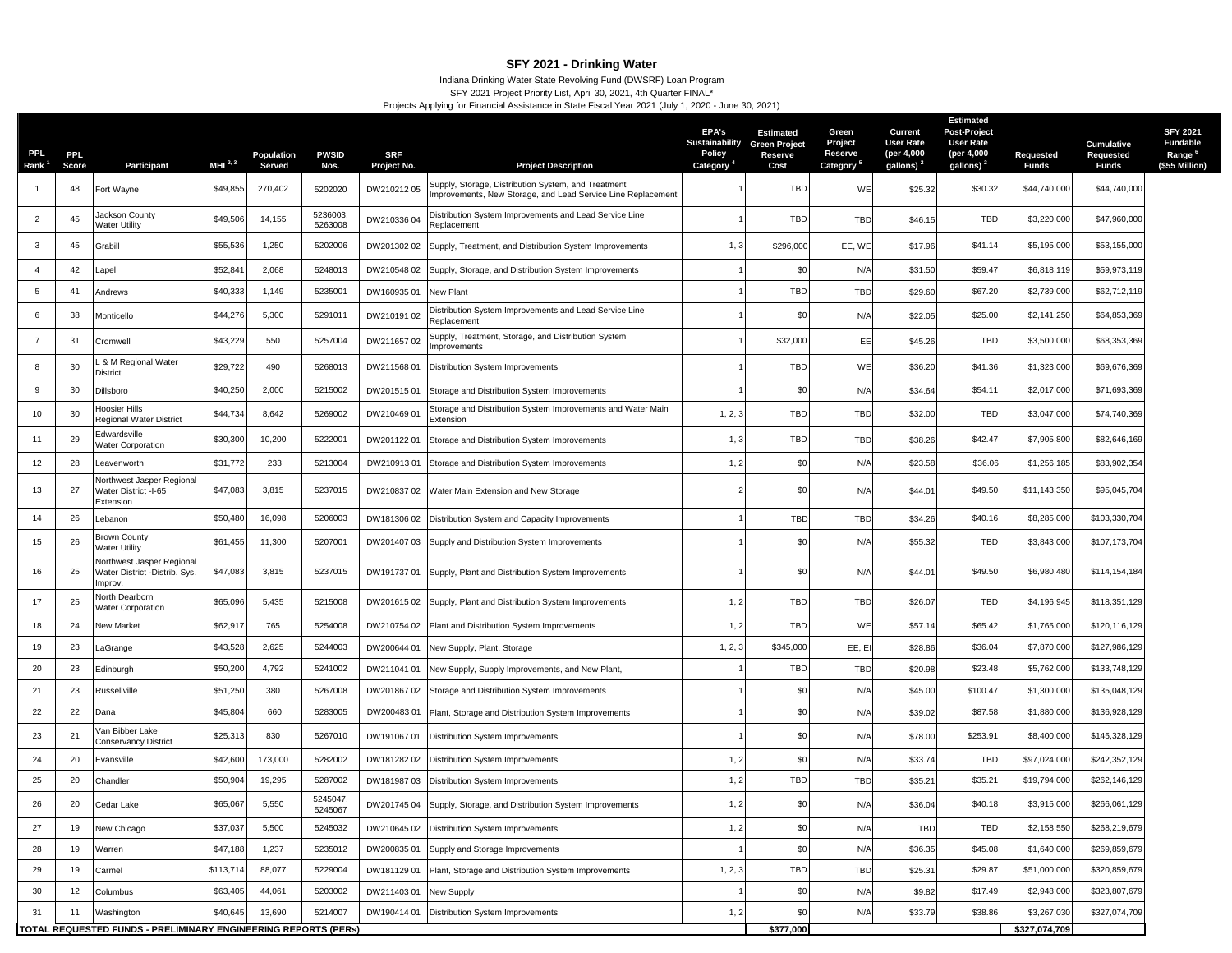## **SFY 2021 - Drinking Water**

## Indiana Drinking Water State Revolving Fund (DWSRF) Loan Program SFY 2021 Project Priority List, April 30, 2021, 4th Quarter FINAL\* Projects Applying for Financial Assistance in State Fiscal Year 2021 (July 1, 2020 - June 30, 2021)

| <b>PPL</b><br>Rank <sup>1</sup> | <b>PPL</b><br>Score | Participant                                                                | MHI $^{2,3}$ | Population<br>Served | <b>PWSID</b><br>Nos. | <b>SRF</b><br>Project No. | <b>Project Description</b>                                                                                          | EPA's<br>Sustainability<br>Policy<br>Category | <b>Estimated</b><br><b>Green Project</b><br>Reserve<br>Cost | Green<br>Project<br>Reserve<br>Category | Current<br><b>User Rate</b><br>(per 4,000<br>gallons) <sup>2</sup> | <b>Estimated</b><br><b>Post-Project</b><br><b>User Rate</b><br>(per 4,000<br>gallons) <sup>2</sup> | Requested<br><b>Funds</b> | <b>Cumulative</b><br>Requested<br><b>Funds</b> | <b>SFY 2021</b><br><b>Fundable</b><br>Range <sup>6</sup><br>(\$55 Million) |
|---------------------------------|---------------------|----------------------------------------------------------------------------|--------------|----------------------|----------------------|---------------------------|---------------------------------------------------------------------------------------------------------------------|-----------------------------------------------|-------------------------------------------------------------|-----------------------------------------|--------------------------------------------------------------------|----------------------------------------------------------------------------------------------------|---------------------------|------------------------------------------------|----------------------------------------------------------------------------|
|                                 | 48                  | Fort Wayne                                                                 | \$49,855     | 270,402              | 5202020              | DW21021205                | Supply, Storage, Distribution System, and Treatment<br>Improvements, New Storage, and Lead Service Line Replacement |                                               | <b>TBD</b>                                                  | WE                                      | \$25.32                                                            | \$30.32                                                                                            | \$44,740,000              | \$44,740,000                                   |                                                                            |
| $\overline{2}$                  | 45                  | Jackson County<br><b>Nater Utility</b>                                     | \$49,506     | 14,155               | 5236003,<br>5263008  | DW210336 04               | Distribution System Improvements and Lead Service Line<br>Replacement                                               |                                               | TBD                                                         | <b>TBD</b>                              | \$46.15                                                            | <b>TBD</b>                                                                                         | \$3,220,000               | \$47,960,000                                   |                                                                            |
| 3                               | 45                  | Grabill                                                                    | \$55,536     | 1,250                | 5202006              | DW201302 02               | Supply, Treatment, and Distribution System Improvements                                                             | 1,3                                           | \$296,000                                                   | EE, WE                                  | \$17.96                                                            | \$41.14                                                                                            | \$5,195,000               | \$53,155,000                                   |                                                                            |
| $\overline{4}$                  | 42                  | _apel                                                                      | \$52,84      | 2,068                | 5248013              | DW210548 02               | Supply, Storage, and Distribution System Improvements                                                               |                                               | \$0                                                         | N/A                                     | \$31.50                                                            | \$59.47                                                                                            | \$6,818,119               | \$59,973,119                                   |                                                                            |
| 5                               | 41                  | Andrews                                                                    | \$40,333     | 1,149                | 5235001              | DW16093501                | New Plant                                                                                                           |                                               | TBD                                                         | <b>TBD</b>                              | \$29.60                                                            | \$67.20                                                                                            | \$2,739,000               | \$62,712,119                                   |                                                                            |
| 6                               | 38                  | Monticello                                                                 | \$44,276     | 5,300                | 5291011              | DW210191 02               | Distribution System Improvements and Lead Service Line<br>Replacement                                               |                                               | \$0                                                         | N/A                                     | \$22.05                                                            | \$25.00                                                                                            | \$2,141,250               | \$64,853,369                                   |                                                                            |
| 7                               | 31                  | Cromwell                                                                   | \$43,229     | 550                  | 5257004              | DW211657 02               | Supply, Treatment, Storage, and Distribution System<br>Improvements                                                 |                                               | \$32,000                                                    | EE                                      | \$45.26                                                            | <b>TBD</b>                                                                                         | \$3,500,000               | \$68,353,369                                   |                                                                            |
| 8                               | 30                  | & M Regional Water<br>District                                             | \$29,722     | 490                  | 5268013              | DW21156801                | Distribution System Improvements                                                                                    |                                               | TBD                                                         | WE                                      | \$36.20                                                            | \$41.36                                                                                            | \$1,323,000               | \$69,676,369                                   |                                                                            |
| 9                               | 30                  | Dillsboro                                                                  | \$40,250     | 2,000                | 5215002              | DW20151501                | Storage and Distribution System Improvements                                                                        |                                               | \$0                                                         | N/A                                     | \$34.64                                                            | \$54.11                                                                                            | \$2,017,000               | \$71,693,369                                   |                                                                            |
| 10                              | 30                  | <b>Hoosier Hills</b><br>Regional Water District                            | \$44,734     | 8,642                | 5269002              | DW210469 01               | Storage and Distribution System Improvements and Water Main<br>Extension                                            | 1, 2, 3                                       | TBD                                                         | <b>TBD</b>                              | \$32.00                                                            | <b>TBD</b>                                                                                         | \$3,047,000               | \$74,740,369                                   |                                                                            |
| 11                              | 29                  | Edwardsville<br><b>Nater Corporation</b>                                   | \$30,300     | 10,200               | 5222001              | DW20112201                | Storage and Distribution System Improvements                                                                        | 1, 3                                          | TBD                                                         | <b>TBD</b>                              | \$38.26                                                            | \$42.47                                                                                            | \$7,905,800               | \$82,646,169                                   |                                                                            |
| 12                              | 28                  | Leavenworth                                                                | \$31,772     | 233                  | 5213004              | DW21091301                | Storage and Distribution System Improvements                                                                        | 1, 2                                          | \$0                                                         | N/A                                     | \$23.58                                                            | \$36.06                                                                                            | \$1,256,185               | \$83,902,354                                   |                                                                            |
| 13                              | 27                  | <b>Northwest Jasper Regional</b><br>Water District -I-65<br>Extension      | \$47,083     | 3,815                | 5237015              | DW21083702                | Water Main Extension and New Storage                                                                                |                                               | \$0                                                         | N/A                                     | \$44.01                                                            | \$49.50                                                                                            | \$11,143,350              | \$95,045,704                                   |                                                                            |
| 14                              | 26                  | Lebanon                                                                    | \$50,480     | 16,098               | 5206003              | DW181306 02               | Distribution System and Capacity Improvements                                                                       |                                               | <b>TBD</b>                                                  | <b>TBD</b>                              | \$34.26                                                            | \$40.16                                                                                            | \$8,285,000               | \$103,330,704                                  |                                                                            |
| 15                              | 26                  | Brown County<br>Water Utility                                              | \$61,455     | 11,300               | 5207001              | DW201407 03               | Supply and Distribution System Improvements                                                                         |                                               | \$0                                                         | N/A                                     | \$55.32                                                            | <b>TBD</b>                                                                                         | \$3,843,000               | \$107,173,704                                  |                                                                            |
| 16                              | 25                  | <b>Northwest Jasper Regiona</b><br>Water District -Distrib. Sys.<br>mprov. | \$47,083     | 3,815                | 5237015              | DW19173701                | Supply, Plant and Distribution System Improvements                                                                  |                                               | \$0                                                         | N/A                                     | \$44.01                                                            | \$49.50                                                                                            | \$6,980,480               | \$114,154,184                                  |                                                                            |
| 17                              | 25                  | Vorth Dearborn<br><b>Nater Corporation</b>                                 | \$65,096     | 5,435                | 5215008              | DW20161502                | Supply, Plant and Distribution System Improvements                                                                  | 1, 2                                          | TBD                                                         | <b>TBD</b>                              | \$26.07                                                            | <b>TBD</b>                                                                                         | \$4,196,945               | \$118,351,129                                  |                                                                            |
| 18                              | 24                  | <b>New Market</b>                                                          | \$62,91      | 765                  | 5254008              | DW210754 02               | Plant and Distribution System Improvements                                                                          | 1, 2                                          | TBD                                                         | WE                                      | \$57.14                                                            | \$65.42                                                                                            | \$1,765,000               | \$120,116,129                                  |                                                                            |
| 19                              | 23                  | LaGrange                                                                   | \$43,528     | 2,625                | 5244003              | DW200644 01               | New Supply, Plant, Storage                                                                                          | 1, 2, 3                                       | \$345,000                                                   | EE, EI                                  | \$28.86                                                            | \$36.04                                                                                            | \$7,870,000               | \$127,986,129                                  |                                                                            |
| 20                              | 23                  | Edinburgh                                                                  | \$50,200     | 4,792                | 5241002              | DW211041 01               | New Supply, Supply Improvements, and New Plant,                                                                     |                                               | TBD                                                         | <b>TBD</b>                              | \$20.98                                                            | \$23.48                                                                                            | \$5,762,000               | \$133,748,129                                  |                                                                            |
| 21                              | 23                  | Russellville                                                               | \$51,250     | 380                  | 5267008              | DW20186702                | Storage and Distribution System Improvements                                                                        |                                               | \$0                                                         | N/A                                     | \$45.00                                                            | \$100.47                                                                                           | \$1,300,000               | \$135,048,129                                  |                                                                            |
| 22                              | 22                  | Dana                                                                       | \$45,804     | 660                  | 5283005              | DW20048301                | Plant, Storage and Distribution System Improvements                                                                 |                                               | \$0                                                         | N/A                                     | \$39.02                                                            | \$87.58                                                                                            | \$1,880,000               | \$136,928,129                                  |                                                                            |
| 23                              | 21                  | √an Bibber Lake<br><b>Conservancy District</b>                             | \$25,313     | 830                  | 5267010              | DW19106701                | Distribution System Improvements                                                                                    |                                               | \$0                                                         | N/A                                     | \$78.00                                                            | \$253.91                                                                                           | \$8,400,000               | \$145,328,129                                  |                                                                            |
| 24                              | 20                  | Evansville                                                                 | \$42,600     | 173,000              | 5282002              | DW18128202                | Distribution System Improvements                                                                                    | 1, 2                                          | \$0                                                         | N/A                                     | \$33.74                                                            | <b>TBD</b>                                                                                         | \$97,024,000              | \$242,352,129                                  |                                                                            |
| 25                              | 20                  | Chandler                                                                   | \$50,904     | 19,295               | 5287002              | DW18198703                | Distribution System Improvements                                                                                    | 1, 2                                          | <b>TBD</b>                                                  | <b>TBD</b>                              | \$35.2                                                             | \$35.21                                                                                            | \$19,794,000              | \$262,146,129                                  |                                                                            |
| 26                              | 20                  | Cedar Lake                                                                 | \$65,067     | 5,550                | 5245047<br>5245067   | DW201745 04               | Supply, Storage, and Distribution System Improvements                                                               | 1, 2                                          | \$0                                                         | N/A                                     | \$36.04                                                            | \$40.18                                                                                            | \$3,915,000               | \$266,061,129                                  |                                                                            |
| 27                              | 19                  | <b>New Chicago</b>                                                         | \$37,037     | 5,500                | 5245032              | DW21064502                | Distribution System Improvements                                                                                    | 1, 2                                          | \$0                                                         | N/A                                     | <b>TBD</b>                                                         | TBD                                                                                                | \$2,158,550               | \$268,219,679                                  |                                                                            |
| 28                              | 19                  | Narren                                                                     | \$47,188     | 1,237                | 5235012              | DW200835 01               | Supply and Storage Improvements                                                                                     |                                               | \$0                                                         | N/A                                     | \$36.35                                                            | \$45.08                                                                                            | \$1,640,000               | \$269,859,679                                  |                                                                            |
| 29                              | 19                  | Carmel                                                                     | \$113,714    | 88,077               | 5229004              | DW18112901                | Plant, Storage and Distribution System Improvements                                                                 | 1, 2, 3                                       | TBD                                                         | TBD                                     | \$25.31                                                            | \$29.87                                                                                            | \$51,000,000              | \$320,859,679                                  |                                                                            |
| 30                              | 12                  | Columbus                                                                   | \$63,405     | 44,061               | 5203002              | DW21140301                | <b>New Supply</b>                                                                                                   |                                               | \$0                                                         | N/A                                     | \$9.82                                                             | \$17.49                                                                                            | \$2,948,000               | \$323,807,679                                  |                                                                            |
| 31                              | 11                  | Washington                                                                 | \$40,645     | 13,690               | 5214007              | DW190414 01               | Distribution System Improvements                                                                                    | 1, 2                                          | \$0                                                         | N/A                                     | \$33.79                                                            | \$38.86                                                                                            | \$3,267,030               | \$327,074,709                                  |                                                                            |
|                                 |                     | TOTAL REQUESTED FUNDS - PRELIMINARY ENGINEERING REPORTS (PERS)             |              |                      |                      |                           |                                                                                                                     |                                               | \$377,000                                                   |                                         |                                                                    |                                                                                                    | \$327,074,709             |                                                |                                                                            |